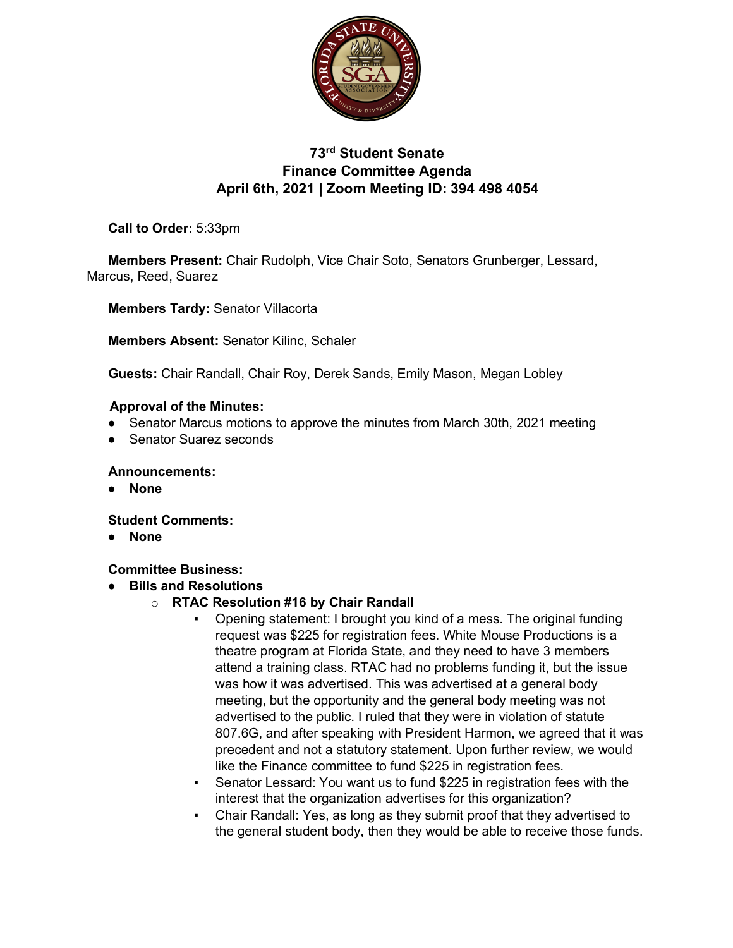

# **73rd Student Senate Finance Committee Agenda April 6th, 2021 | Zoom Meeting ID: 394 498 4054**

**Call to Order:** 5:33pm

**Members Present:** Chair Rudolph, Vice Chair Soto, Senators Grunberger, Lessard, Marcus, Reed, Suarez

**Members Tardy:** Senator Villacorta

**Members Absent:** Senator Kilinc, Schaler

**Guests:** Chair Randall, Chair Roy, Derek Sands, Emily Mason, Megan Lobley

#### **Approval of the Minutes:**

- Senator Marcus motions to approve the minutes from March 30th, 2021 meeting
- **Senator Suarez seconds**

**Announcements:**

● **None**

**Student Comments:** 

● **None**

**Committee Business:** 

- **Bills and Resolutions**
	- o **RTAC Resolution #16 by Chair Randall**
		- Opening statement: I brought you kind of a mess. The original funding request was \$225 for registration fees. White Mouse Productions is a theatre program at Florida State, and they need to have 3 members attend a training class. RTAC had no problems funding it, but the issue was how it was advertised. This was advertised at a general body meeting, but the opportunity and the general body meeting was not advertised to the public. I ruled that they were in violation of statute 807.6G, and after speaking with President Harmon, we agreed that it was precedent and not a statutory statement. Upon further review, we would like the Finance committee to fund \$225 in registration fees.
		- Senator Lessard: You want us to fund \$225 in registration fees with the interest that the organization advertises for this organization?
		- Chair Randall: Yes, as long as they submit proof that they advertised to the general student body, then they would be able to receive those funds.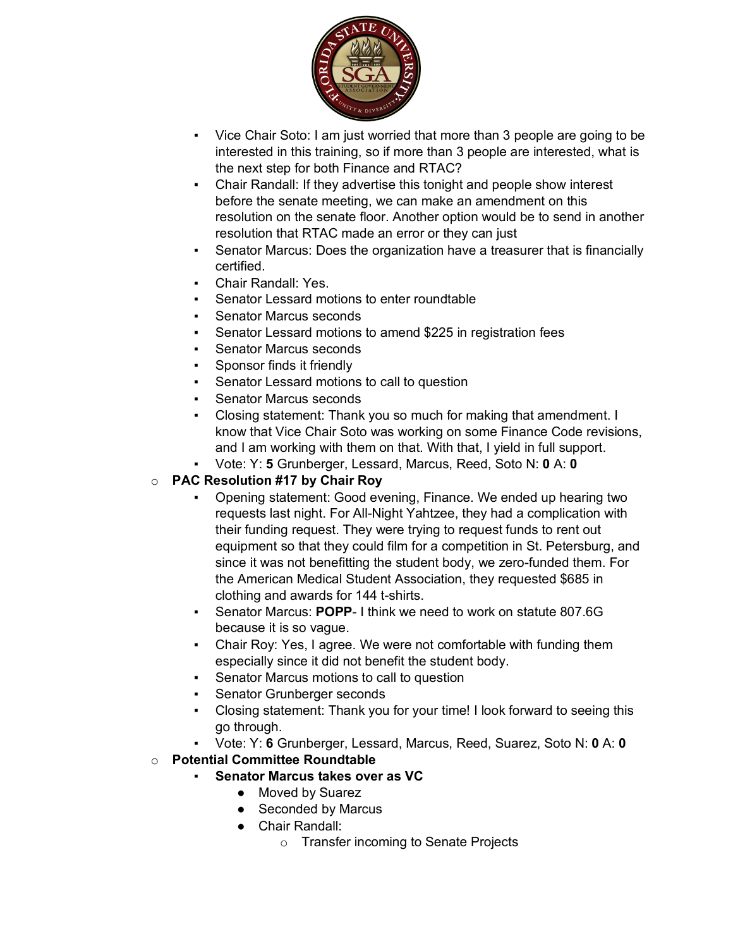

- Vice Chair Soto: I am just worried that more than 3 people are going to be interested in this training, so if more than 3 people are interested, what is the next step for both Finance and RTAC?
- Chair Randall: If they advertise this tonight and people show interest before the senate meeting, we can make an amendment on this resolution on the senate floor. Another option would be to send in another resolution that RTAC made an error or they can just
- Senator Marcus: Does the organization have a treasurer that is financially certified.
- Chair Randall: Yes.
- Senator Lessard motions to enter roundtable
- **Senator Marcus seconds**
- Senator Lessard motions to amend \$225 in registration fees
- **Senator Marcus seconds**
- **•** Sponsor finds it friendly
- Senator Lessard motions to call to question
- **Senator Marcus seconds**
- Closing statement: Thank you so much for making that amendment. I know that Vice Chair Soto was working on some Finance Code revisions, and I am working with them on that. With that, I yield in full support.
- Vote: Y: **5** Grunberger, Lessard, Marcus, Reed, Soto N: **0** A: **0**

## o **PAC Resolution #17 by Chair Roy**

- Opening statement: Good evening, Finance. We ended up hearing two requests last night. For All-Night Yahtzee, they had a complication with their funding request. They were trying to request funds to rent out equipment so that they could film for a competition in St. Petersburg, and since it was not benefitting the student body, we zero-funded them. For the American Medical Student Association, they requested \$685 in clothing and awards for 144 t-shirts.
- Senator Marcus: **POPP** I think we need to work on statute 807.6G because it is so vague.
- Chair Roy: Yes, I agree. We were not comfortable with funding them especially since it did not benefit the student body.
- Senator Marcus motions to call to question
- **Senator Grunberger seconds**
- Closing statement: Thank you for your time! I look forward to seeing this go through.
- Vote: Y: **6** Grunberger, Lessard, Marcus, Reed, Suarez, Soto N: **0** A: **0**
- o **Potential Committee Roundtable**
	- **Senator Marcus takes over as VC** 
		- Moved by Suarez
		- Seconded by Marcus
		- Chair Randall:
			- o Transfer incoming to Senate Projects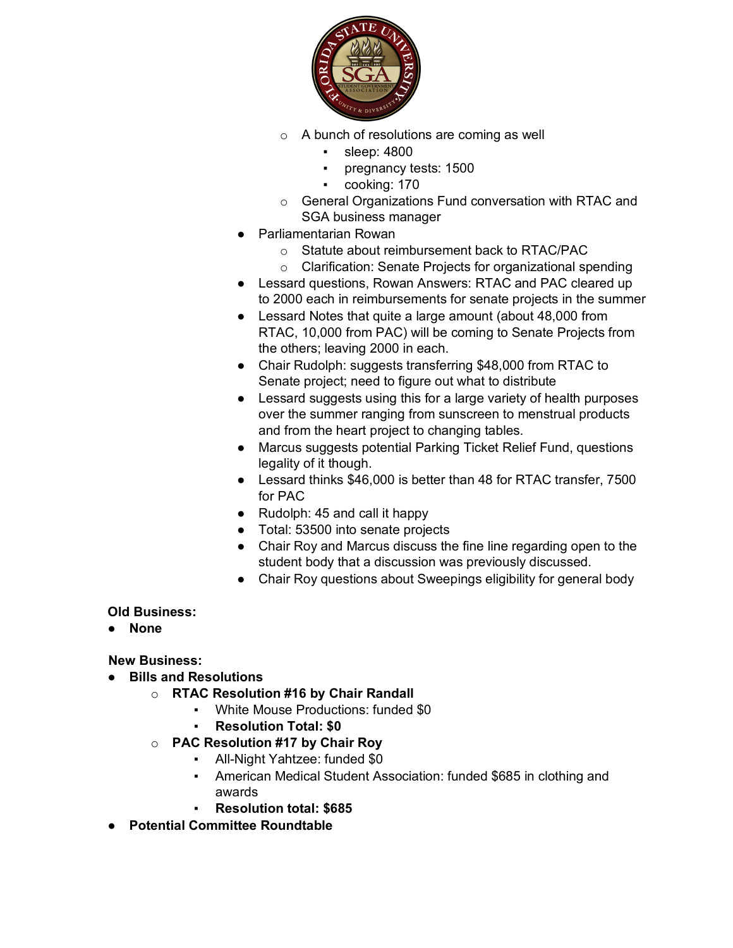

- o A bunch of resolutions are coming as well
	- sleep: 4800
	- pregnancy tests: 1500
	- cooking: 170
- o General Organizations Fund conversation with RTAC and SGA business manager
- Parliamentarian Rowan
	- o Statute about reimbursement back to RTAC/PAC
	- o Clarification: Senate Projects for organizational spending
- Lessard questions, Rowan Answers: RTAC and PAC cleared up to 2000 each in reimbursements for senate projects in the summer
- Lessard Notes that quite a large amount (about 48,000 from RTAC, 10,000 from PAC) will be coming to Senate Projects from the others; leaving 2000 in each.
- Chair Rudolph: suggests transferring \$48,000 from RTAC to Senate project; need to figure out what to distribute
- Lessard suggests using this for a large variety of health purposes over the summer ranging from sunscreen to menstrual products and from the heart project to changing tables.
- Marcus suggests potential Parking Ticket Relief Fund, questions legality of it though.
- Lessard thinks \$46,000 is better than 48 for RTAC transfer, 7500 for PAC
- Rudolph: 45 and call it happy
- Total: 53500 into senate projects
- Chair Roy and Marcus discuss the fine line regarding open to the student body that a discussion was previously discussed.
- Chair Roy questions about Sweepings eligibility for general body

#### **Old Business:**

● **None**

### **New Business:**

- **Bills and Resolutions**
	- o **RTAC Resolution #16 by Chair Randall**
		- White Mouse Productions: funded \$0
		- **Resolution Total: \$0**
	- o **PAC Resolution #17 by Chair Roy**
		- All-Night Yahtzee: funded \$0
		- American Medical Student Association: funded \$685 in clothing and awards
		- **Resolution total: \$685**
- **Potential Committee Roundtable**